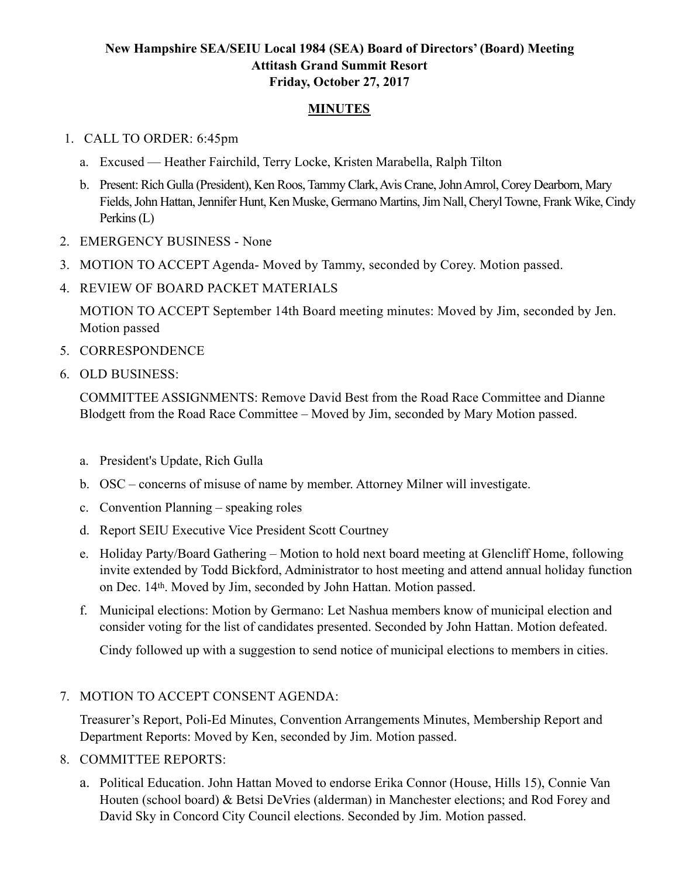## **New Hampshire SEA/SEIU Local 1984 (SEA) Board of Directors' (Board) Meeting Attitash Grand Summit Resort Friday, October 27, 2017**

## **MINUTES**

## 1. CALL TO ORDER: 6:45pm

- a. Excused Heather Fairchild, Terry Locke, Kristen Marabella, Ralph Tilton
- b. Present: Rich Gulla (President), Ken Roos, Tammy Clark, Avis Crane, John Amrol, Corey Dearborn, Mary Fields, John Hattan, Jennifer Hunt, Ken Muske, Germano Martins, Jim Nall, Cheryl Towne, Frank Wike, Cindy Perkins (L)
- 2. EMERGENCY BUSINESS None
- 3. MOTION TO ACCEPT Agenda- Moved by Tammy, seconded by Corey. Motion passed.
- 4. REVIEW OF BOARD PACKET MATERIALS

MOTION TO ACCEPT September 14th Board meeting minutes: Moved by Jim, seconded by Jen. Motion passed

- 5. CORRESPONDENCE
- 6. OLD BUSINESS:

COMMITTEE ASSIGNMENTS: Remove David Best from the Road Race Committee and Dianne Blodgett from the Road Race Committee – Moved by Jim, seconded by Mary Motion passed.

- a. President's Update, Rich Gulla
- b. OSC concerns of misuse of name by member. Attorney Milner will investigate.
- c. Convention Planning speaking roles
- d. Report SEIU Executive Vice President Scott Courtney
- e. Holiday Party/Board Gathering Motion to hold next board meeting at Glencliff Home, following invite extended by Todd Bickford, Administrator to host meeting and attend annual holiday function on Dec. 14th. Moved by Jim, seconded by John Hattan. Motion passed.
- f. Municipal elections: Motion by Germano: Let Nashua members know of municipal election and consider voting for the list of candidates presented. Seconded by John Hattan. Motion defeated.

Cindy followed up with a suggestion to send notice of municipal elections to members in cities.

## 7. MOTION TO ACCEPT CONSENT AGENDA:

Treasurer's Report, Poli-Ed Minutes, Convention Arrangements Minutes, Membership Report and Department Reports: Moved by Ken, seconded by Jim. Motion passed.

- 8. COMMITTEE REPORTS:
	- a. Political Education. John Hattan Moved to endorse Erika Connor (House, Hills 15), Connie Van Houten (school board) & Betsi DeVries (alderman) in Manchester elections; and Rod Forey and David Sky in Concord City Council elections. Seconded by Jim. Motion passed.